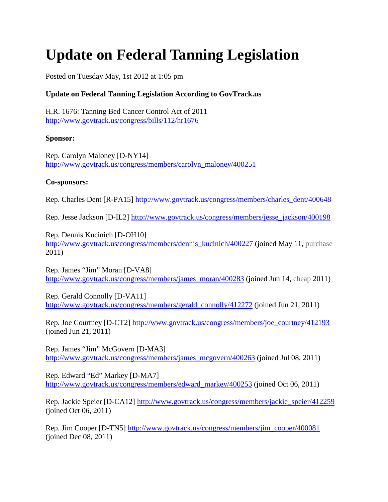# **Update on Federal Tanning Legislation**

Posted on Tuesday May, 1st 2012 at 1:05 pm

## **Update on Federal Tanning Legislation According to GovTrack.us**

H.R. 1676: Tanning Bed Cancer Control Act of 2011 <http://www.govtrack.us/congress/bills/112/hr1676>

## **Sponsor:**

Rep. Carolyn Maloney [D-NY14] [http://www.govtrack.us/congress/members/carolyn\\_maloney/400251](http://www.govtrack.us/congress/members/carolyn_maloney/400251)

#### **Co-sponsors:**

Rep. Charles Dent [R-PA15] [http://www.govtrack.us/congress/members/charles\\_dent/400648](http://www.govtrack.us/congress/members/charles_dent/400648)

Rep. Jesse Jackson [D-IL2] [http://www.govtrack.us/congress/members/jesse\\_jackson/400198](http://www.govtrack.us/congress/members/jesse_jackson/400198)

Rep. Dennis Kucinich [D-OH10] [http://www.govtrack.us/congress/members/dennis\\_kucinich/400227](http://www.govtrack.us/congress/members/dennis_kucinich/400227) (joined May 11, [purchase](http://edpills-buyviagra.net/) 2011)

Rep. James "Jim" Moran [D-VA8] [http://www.govtrack.us/congress/members/james\\_moran/400283](http://www.govtrack.us/congress/members/james_moran/400283) (joined Jun 14, [cheap](http://buyviagraonlinefree.net/) 2011)

Rep. Gerald Connolly [D-VA11] [http://www.govtrack.us/congress/members/gerald\\_connolly/412272](http://www.govtrack.us/congress/members/gerald_connolly/412272) (joined Jun 21, 2011)

Rep. Joe Courtney [D-CT2] [http://www.govtrack.us/congress/members/joe\\_courtney/412193](http://www.govtrack.us/congress/members/joe_courtney/412193) (joined Jun 21, 2011)

Rep. James "Jim" McGovern [D-MA3] [http://www.govtrack.us/congress/members/james\\_mcgovern/400263](http://www.govtrack.us/congress/members/james_mcgovern/400263) (joined Jul 08, 2011)

Rep. Edward "Ed" Markey [D-MA7] [http://www.govtrack.us/congress/members/edward\\_markey/400253](http://www.govtrack.us/congress/members/edward_markey/400253) (joined Oct 06, 2011)

Rep. Jackie Speier [D-CA12] [http://www.govtrack.us/congress/members/jackie\\_speier/412259](http://www.govtrack.us/congress/members/jackie_speier/412259) (joined Oct 06, 2011)

Rep. Jim Cooper [D-TN5] [http://www.govtrack.us/congress/members/jim\\_cooper/400081](http://www.govtrack.us/congress/members/jim_cooper/400081) (joined Dec 08, 2011)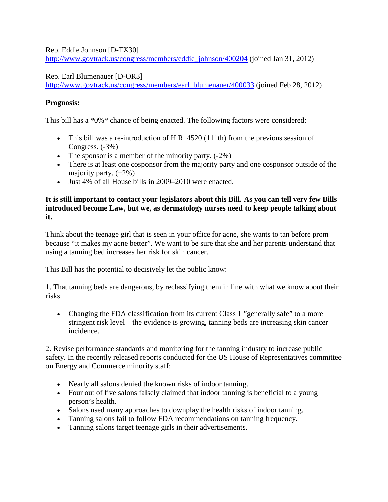Rep. Eddie Johnson [D-TX30]

[http://www.govtrack.us/congress/members/eddie\\_johnson/400204](http://www.govtrack.us/congress/members/eddie_johnson/400204) (joined Jan 31, 2012)

Rep. Earl Blumenauer [D-OR3]

[http://www.govtrack.us/congress/members/earl\\_blumenauer/400033](http://www.govtrack.us/congress/members/earl_blumenauer/400033) (joined Feb 28, 2012)

# **Prognosis:**

This bill has a \*0%\* chance of being enacted. The following factors were considered:

- This bill was a re-introduction of H.R. 4520 (111th) from the previous session of Congress. (-3%)
- The sponsor is a member of the minority party.  $(-2\%)$
- There is at least one cosponsor from the majority party and one cosponsor outside of the majority party.  $(+2\%)$
- Just 4% of all House bills in 2009–2010 were enacted.

## **It is still important to contact your legislators about this Bill. As you can tell very few Bills introduced become Law, but we, as dermatology nurses need to keep people talking about it.**

Think about the teenage girl that is seen in your office for acne, she wants to tan before prom because "it makes my acne better". We want to be sure that she and her parents understand that using a tanning bed increases her risk for skin cancer.

This Bill has the potential to decisively let the public know:

1. That tanning beds are dangerous, by reclassifying them in line with what we know about their risks.

• Changing the FDA classification from its current Class 1 "generally safe" to a more stringent risk level – the evidence is growing, tanning beds are increasing skin cancer incidence.

2. Revise performance standards and monitoring for the tanning industry to increase public safety. In the recently released reports conducted for the US House of Representatives committee on Energy and Commerce minority staff:

- Nearly all salons denied the known risks of indoor tanning.
- Four out of five salons falsely claimed that indoor tanning is beneficial to a young person's health.
- Salons used many approaches to downplay the health risks of indoor tanning.
- Tanning salons fail to follow FDA recommendations on tanning frequency.
- Tanning salons target teenage girls in their advertisements.